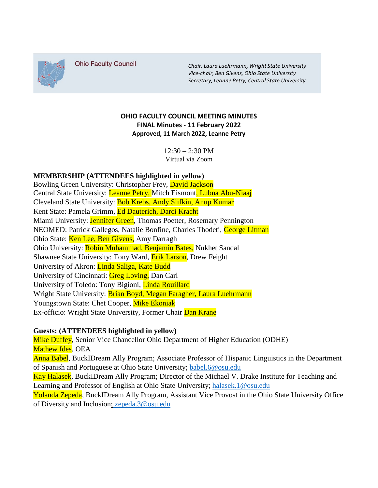

**Ohio Faculty Council** 

Chair, Laura Luehrmann, Wright State University Vice-chair, Ben Givens, Ohio State University Secretary, Leanne Petry, Central State University

## **OHIO FACULTY COUNCIL MEETING MINUTES FINAL Minutes - 11 February 2022 Approved, 11 March 2022, Leanne Petry**

 $12:30 - 2:30$  PM Virtual via Zoom

## **MEMBERSHIP (ATTENDEES highlighted in yellow)**

Bowling Green University: Christopher Frey, David Jackson Central State University: Leanne Petry, Mitch Eismont, Lubna Abu-Niaaj Cleveland State University: Bob Krebs, Andy Slifkin, Anup Kumar Kent State: Pamela Grimm, Ed Dauterich, Darci Kracht Miami University: Jennifer Green, Thomas Poetter, Rosemary Pennington NEOMED: Patrick Gallegos, Natalie Bonfine, Charles Thodeti, George Litman Ohio State: Ken Lee, Ben Givens, Amy Darragh Ohio University: Robin Muhammad, Benjamin Bates, Nukhet Sandal Shawnee State University: Tony Ward, Erik Larson, Drew Feight University of Akron: Linda Saliga, Kate Budd University of Cincinnati: Greg Loving, Dan Carl University of Toledo: Tony Bigioni, Linda Rouillard Wright State University: Brian Boyd, Megan Faragher, Laura Luehrmann Youngstown State: Chet Cooper, Mike Ekoniak Ex-officio: Wright State University, Former Chair Dan Krane

## **Guests: (ATTENDEES highlighted in yellow)**

Mike Duffey, Senior Vice Chancellor Ohio Department of Higher Education (ODHE) Mathew Ides, OEA Anna Babel, BuckIDream Ally Program; Associate Professor of Hispanic Linguistics in the Department of Spanish and Portuguese at Ohio State University; babel.6@osu.edu Kay Halasek, BuckIDream Ally Program; Director of the Michael V. Drake Institute for Teaching and Learning and Professor of English at Ohio State University; [halasek.1@osu.edu](mailto:halasek.1@osu.edu) Yolanda Zepeda, BuckIDream Ally Program, Assistant Vice Provost in the Ohio State University Office of Diversity and Inclusion; [zepeda.3@osu.edu](mailto:zepeda.3@osu.edu)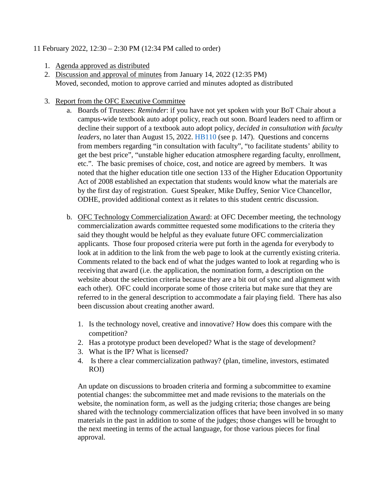## 11 February 2022, 12:30 – 2:30 PM (12:34 PM called to order)

- 1. Agenda approved as distributed
- 2. Discussion and approval of minutes from January 14, 2022 (12:35 PM) Moved, seconded, motion to approve carried and minutes adopted as distributed
- 3. Report from the OFC Executive Committee
	- a. Boards of Trustees: *Reminder*: if you have not yet spoken with your BoT Chair about a campus-wide textbook auto adopt policy, reach out soon. Board leaders need to affirm or decline their support of a textbook auto adopt policy, *decided in consultation with faculty leaders*, no later than August 15, 2022. HB110 (see p. 147). Questions and concerns from members regarding "in consultation with faculty", "to facilitate students' ability to get the best price", "unstable higher education atmosphere regarding faculty, enrollment, etc.". The basic premises of choice, cost, and notice are agreed by members. It was noted that the higher education title one section 133 of the Higher Education Opportunity Act of 2008 established an expectation that students would know what the materials are by the first day of registration. Guest Speaker, Mike Duffey, Senior Vice Chancellor, ODHE, provided additional context as it relates to this student centric discussion.
	- b. OFC Technology Commercialization Award: at OFC December meeting, the technology commercialization awards committee requested some modifications to the criteria they said they thought would be helpful as they evaluate future OFC commercialization applicants. Those four proposed criteria were put forth in the agenda for everybody to look at in addition to the link from the web page to look at the currently existing criteria. Comments related to the back end of what the judges wanted to look at regarding who is receiving that award (i.e. the application, the nomination form, a description on the website about the selection criteria because they are a bit out of sync and alignment with each other). OFC could incorporate some of those criteria but make sure that they are referred to in the general description to accommodate a fair playing field. There has also been discussion about creating another award.
		- 1. Is the technology novel, creative and innovative? How does this compare with the competition?
		- 2. Has a prototype product been developed? What is the stage of development?
		- 3. What is the IP? What is licensed?
		- 4. Is there a clear commercialization pathway? (plan, timeline, investors, estimated ROI)

An update on discussions to broaden criteria and forming a subcommittee to examine potential changes: the subcommittee met and made revisions to the materials on the website, the nomination form, as well as the judging criteria; those changes are being shared with the technology commercialization offices that have been involved in so many materials in the past in addition to some of the judges; those changes will be brought to the next meeting in terms of the actual language, for those various pieces for final approval.